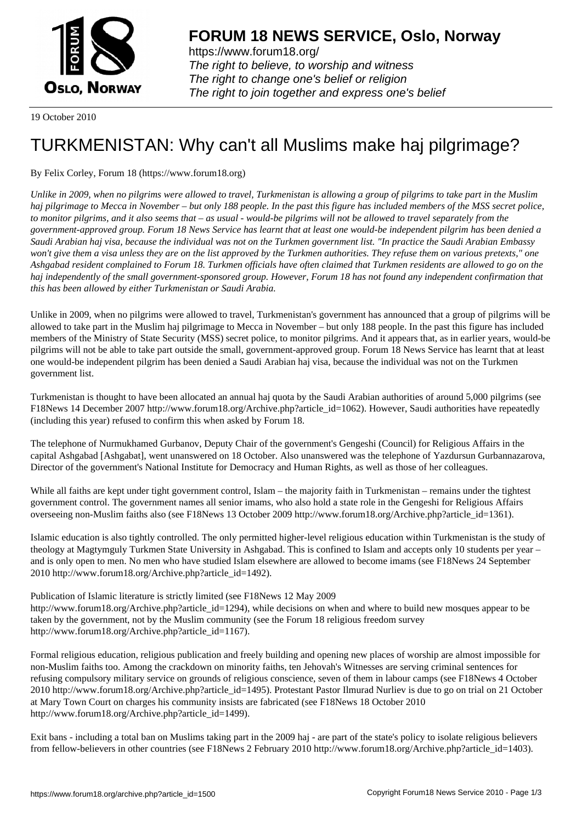

https://www.forum18.org/ The right to believe, to worship and witness The right to change one's belief or religion [The right to join together a](https://www.forum18.org/)nd express one's belief

19 October 2010

## [TURKMENISTA](https://www.forum18.org)N: Why can't all Muslims make haj pilgrimage?

## By Felix Corley, Forum 18 (https://www.forum18.org)

*Unlike in 2009, when no pilgrims were allowed to travel, Turkmenistan is allowing a group of pilgrims to take part in the Muslim haj pilgrimage to Mecca in November – but only 188 people. In the past this figure has included members of the MSS secret police, to monitor pilgrims, and it also seems that – as usual - would-be pilgrims will not be allowed to travel separately from the government-approved group. Forum 18 News Service has learnt that at least one would-be independent pilgrim has been denied a Saudi Arabian haj visa, because the individual was not on the Turkmen government list. "In practice the Saudi Arabian Embassy won't give them a visa unless they are on the list approved by the Turkmen authorities. They refuse them on various pretexts," one Ashgabad resident complained to Forum 18. Turkmen officials have often claimed that Turkmen residents are allowed to go on the haj independently of the small government-sponsored group. However, Forum 18 has not found any independent confirmation that this has been allowed by either Turkmenistan or Saudi Arabia.*

Unlike in 2009, when no pilgrims were allowed to travel, Turkmenistan's government has announced that a group of pilgrims will be allowed to take part in the Muslim haj pilgrimage to Mecca in November – but only 188 people. In the past this figure has included members of the Ministry of State Security (MSS) secret police, to monitor pilgrims. And it appears that, as in earlier years, would-be pilgrims will not be able to take part outside the small, government-approved group. Forum 18 News Service has learnt that at least one would-be independent pilgrim has been denied a Saudi Arabian haj visa, because the individual was not on the Turkmen government list.

Turkmenistan is thought to have been allocated an annual haj quota by the Saudi Arabian authorities of around 5,000 pilgrims (see F18News 14 December 2007 http://www.forum18.org/Archive.php?article\_id=1062). However, Saudi authorities have repeatedly (including this year) refused to confirm this when asked by Forum 18.

The telephone of Nurmukhamed Gurbanov, Deputy Chair of the government's Gengeshi (Council) for Religious Affairs in the capital Ashgabad [Ashgabat], went unanswered on 18 October. Also unanswered was the telephone of Yazdursun Gurbannazarova, Director of the government's National Institute for Democracy and Human Rights, as well as those of her colleagues.

While all faiths are kept under tight government control, Islam – the majority faith in Turkmenistan – remains under the tightest government control. The government names all senior imams, who also hold a state role in the Gengeshi for Religious Affairs overseeing non-Muslim faiths also (see F18News 13 October 2009 http://www.forum18.org/Archive.php?article\_id=1361).

Islamic education is also tightly controlled. The only permitted higher-level religious education within Turkmenistan is the study of theology at Magtymguly Turkmen State University in Ashgabad. This is confined to Islam and accepts only 10 students per year – and is only open to men. No men who have studied Islam elsewhere are allowed to become imams (see F18News 24 September 2010 http://www.forum18.org/Archive.php?article\_id=1492).

Publication of Islamic literature is strictly limited (see F18News 12 May 2009 http://www.forum18.org/Archive.php?article\_id=1294), while decisions on when and where to build new mosques appear to be taken by the government, not by the Muslim community (see the Forum 18 religious freedom survey http://www.forum18.org/Archive.php?article\_id=1167).

Formal religious education, religious publication and freely building and opening new places of worship are almost impossible for non-Muslim faiths too. Among the crackdown on minority faiths, ten Jehovah's Witnesses are serving criminal sentences for refusing compulsory military service on grounds of religious conscience, seven of them in labour camps (see F18News 4 October 2010 http://www.forum18.org/Archive.php?article\_id=1495). Protestant Pastor Ilmurad Nurliev is due to go on trial on 21 October at Mary Town Court on charges his community insists are fabricated (see F18News 18 October 2010 http://www.forum18.org/Archive.php?article\_id=1499).

Exit bans - including a total ban on Muslims taking part in the 2009 haj - are part of the state's policy to isolate religious believers from fellow-believers in other countries (see F18News 2 February 2010 http://www.forum18.org/Archive.php?article\_id=1403).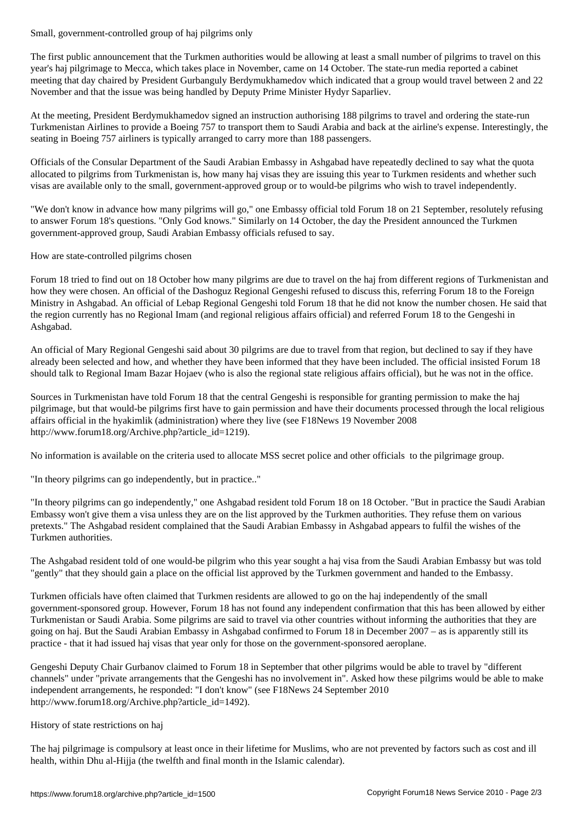The first public announcement that the Turkmen authorities would be allowing at least a small number of pilgrims to travel on this year's haj pilgrimage to Mecca, which takes place in November, came on 14 October. The state-run media reported a cabinet meeting that day chaired by President Gurbanguly Berdymukhamedov which indicated that a group would travel between 2 and 22 November and that the issue was being handled by Deputy Prime Minister Hydyr Saparliev.

At the meeting, President Berdymukhamedov signed an instruction authorising 188 pilgrims to travel and ordering the state-run Turkmenistan Airlines to provide a Boeing 757 to transport them to Saudi Arabia and back at the airline's expense. Interestingly, the seating in Boeing 757 airliners is typically arranged to carry more than 188 passengers.

Officials of the Consular Department of the Saudi Arabian Embassy in Ashgabad have repeatedly declined to say what the quota allocated to pilgrims from Turkmenistan is, how many haj visas they are issuing this year to Turkmen residents and whether such visas are available only to the small, government-approved group or to would-be pilgrims who wish to travel independently.

"We don't know in advance how many pilgrims will go," one Embassy official told Forum 18 on 21 September, resolutely refusing to answer Forum 18's questions. "Only God knows." Similarly on 14 October, the day the President announced the Turkmen government-approved group, Saudi Arabian Embassy officials refused to say.

How are state-controlled pilgrims chosen

Forum 18 tried to find out on 18 October how many pilgrims are due to travel on the haj from different regions of Turkmenistan and how they were chosen. An official of the Dashoguz Regional Gengeshi refused to discuss this, referring Forum 18 to the Foreign Ministry in Ashgabad. An official of Lebap Regional Gengeshi told Forum 18 that he did not know the number chosen. He said that the region currently has no Regional Imam (and regional religious affairs official) and referred Forum 18 to the Gengeshi in Ashgabad.

An official of Mary Regional Gengeshi said about 30 pilgrims are due to travel from that region, but declined to say if they have already been selected and how, and whether they have been informed that they have been included. The official insisted Forum 18 should talk to Regional Imam Bazar Hojaev (who is also the regional state religious affairs official), but he was not in the office.

Sources in Turkmenistan have told Forum 18 that the central Gengeshi is responsible for granting permission to make the haj pilgrimage, but that would-be pilgrims first have to gain permission and have their documents processed through the local religious affairs official in the hyakimlik (administration) where they live (see F18News 19 November 2008 http://www.forum18.org/Archive.php?article\_id=1219).

No information is available on the criteria used to allocate MSS secret police and other officials to the pilgrimage group.

"In theory pilgrims can go independently, but in practice.."

"In theory pilgrims can go independently," one Ashgabad resident told Forum 18 on 18 October. "But in practice the Saudi Arabian Embassy won't give them a visa unless they are on the list approved by the Turkmen authorities. They refuse them on various pretexts." The Ashgabad resident complained that the Saudi Arabian Embassy in Ashgabad appears to fulfil the wishes of the Turkmen authorities.

The Ashgabad resident told of one would-be pilgrim who this year sought a haj visa from the Saudi Arabian Embassy but was told "gently" that they should gain a place on the official list approved by the Turkmen government and handed to the Embassy.

Turkmen officials have often claimed that Turkmen residents are allowed to go on the haj independently of the small government-sponsored group. However, Forum 18 has not found any independent confirmation that this has been allowed by either Turkmenistan or Saudi Arabia. Some pilgrims are said to travel via other countries without informing the authorities that they are going on haj. But the Saudi Arabian Embassy in Ashgabad confirmed to Forum 18 in December 2007 – as is apparently still its practice - that it had issued haj visas that year only for those on the government-sponsored aeroplane.

Gengeshi Deputy Chair Gurbanov claimed to Forum 18 in September that other pilgrims would be able to travel by "different channels" under "private arrangements that the Gengeshi has no involvement in". Asked how these pilgrims would be able to make independent arrangements, he responded: "I don't know" (see F18News 24 September 2010 http://www.forum18.org/Archive.php?article\_id=1492).

## History of state restrictions on haj

The haj pilgrimage is compulsory at least once in their lifetime for Muslims, who are not prevented by factors such as cost and ill health, within Dhu al-Hijja (the twelfth and final month in the Islamic calendar).